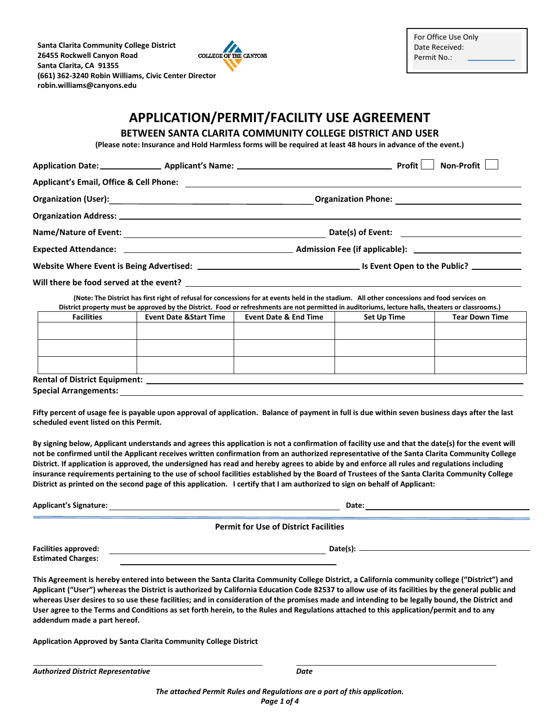**Santa Clarita Community College District**  COLLEGE OF THE CANYONS **26455 Rockwell Canyon Road Santa Clarita, CA 91355 (661) 362-3240 Robin Williams, Civic Center Director robin.williams@canyons.edu** 



# **APPLICATION/PERMIT/FACILITY USE AGREEMENT**

# **BETWEEN SANTA CLARITA COMMUNITY COLLEGE DISTRICT AND USER**

**(Please note: Insurance and Hold Harmless forms will be required at least 48 hours in advance of the event.)** 

|                   |                                    |                                                                                                                                                                                                                                                                                                    |             | <b>Non-Profit</b>     |
|-------------------|------------------------------------|----------------------------------------------------------------------------------------------------------------------------------------------------------------------------------------------------------------------------------------------------------------------------------------------------|-------------|-----------------------|
|                   |                                    |                                                                                                                                                                                                                                                                                                    |             |                       |
|                   |                                    |                                                                                                                                                                                                                                                                                                    |             |                       |
|                   |                                    |                                                                                                                                                                                                                                                                                                    |             |                       |
|                   |                                    |                                                                                                                                                                                                                                                                                                    |             |                       |
|                   |                                    |                                                                                                                                                                                                                                                                                                    |             |                       |
|                   |                                    |                                                                                                                                                                                                                                                                                                    |             |                       |
|                   |                                    |                                                                                                                                                                                                                                                                                                    |             |                       |
|                   |                                    | (Note: The District has first right of refusal for concessions for at events held in the stadium. All other concessions and food services on<br>District property must be approved by the District. Food or refreshments are not permitted in auditoriums, lecture halls, theaters or classrooms.) |             |                       |
| <b>Facilities</b> | <b>Event Date &amp; Start Time</b> | Event Date & End Time                                                                                                                                                                                                                                                                              | Set Up Time | <b>Tear Down Time</b> |
|                   |                                    |                                                                                                                                                                                                                                                                                                    |             |                       |
|                   |                                    |                                                                                                                                                                                                                                                                                                    |             |                       |
|                   |                                    |                                                                                                                                                                                                                                                                                                    |             |                       |
|                   |                                    |                                                                                                                                                                                                                                                                                                    |             |                       |

**Special Arrangements:** 

**Fifty percent of usage fee is payable upon approval of application. Balance of payment in full is due within seven business days after the last scheduled event listed on this Permit.** 

**By signing below, Applicant understands and agrees this application is not a confirmation of facility use and that the date(s) for the event will not be confirmed until the Applicant receives written confirmation from an authorized representative of the Santa Clarita Community College District. If application is approved, the undersigned has read and hereby agrees to abide by and enforce all rules and regulations including insurance requirements pertaining to the use of school facilities established by the Board of Trustees of the Santa Clarita Community College District as printed on the second page of this application. I certify that I am authorized to sign on behalf of Applicant:** 

| <b>Applicant's Signature:</b>                            | Date:                                                                                                                                                                                                                                                                                                                                                                                                                                                                                                                                                                                         |
|----------------------------------------------------------|-----------------------------------------------------------------------------------------------------------------------------------------------------------------------------------------------------------------------------------------------------------------------------------------------------------------------------------------------------------------------------------------------------------------------------------------------------------------------------------------------------------------------------------------------------------------------------------------------|
|                                                          | <b>Permit for Use of District Facilities</b>                                                                                                                                                                                                                                                                                                                                                                                                                                                                                                                                                  |
| <b>Facilities approved:</b><br><b>Estimated Charges:</b> |                                                                                                                                                                                                                                                                                                                                                                                                                                                                                                                                                                                               |
|                                                          | This Agreement is hereby entered into between the Santa Clarita Community College District, a California community college ("District") and<br>Applicant ("User") whereas the District is authorized by California Education Code 82537 to allow use of its facilities by the general public and<br>whereas User desires to so use these facilities; and in consideration of the promises made and intending to be legally bound, the District and<br>User agree to the Terms and Conditions as set forth herein, to the Rules and Regulations attached to this application/permit and to any |

**Application Approved by Santa Clarita Community College District** 

*Authorized District Representative Date* 

**addendum made a part hereof.**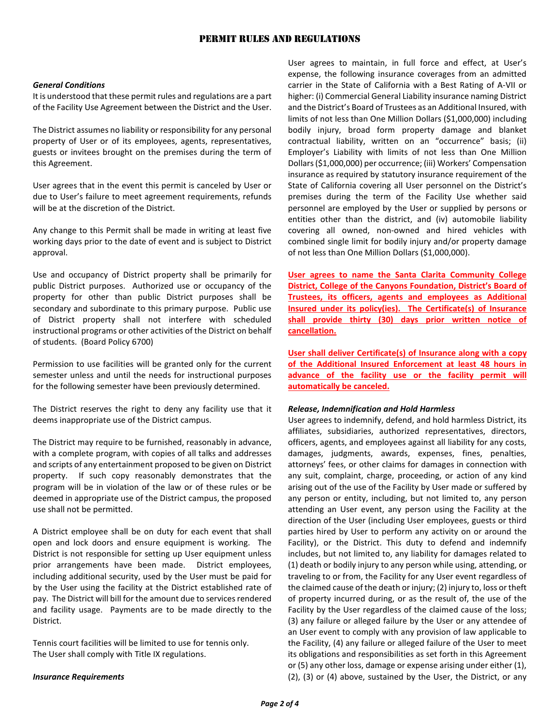# PERMIT RULES AND REGULATIONS

## *General Conditions*

It is understood that these permit rules and regulations are a part of the Facility Use Agreement between the District and the User.

The District assumes no liability or responsibility for any personal property of User or of its employees, agents, representatives, guests or invitees brought on the premises during the term of this Agreement.

User agrees that in the event this permit is canceled by User or due to User's failure to meet agreement requirements, refunds will be at the discretion of the District.

Any change to this Permit shall be made in writing at least five working days prior to the date of event and is subject to District approval.

Use and occupancy of District property shall be primarily for public District purposes. Authorized use or occupancy of the property for other than public District purposes shall be secondary and subordinate to this primary purpose. Public use of District property shall not interfere with scheduled instructional programs or other activities of the District on behalf of students. (Board Policy 6700)

Permission to use facilities will be granted only for the current semester unless and until the needs for instructional purposes for the following semester have been previously determined.

The District reserves the right to deny any facility use that it deems inappropriate use of the District campus.

The District may require to be furnished, reasonably in advance, with a complete program, with copies of all talks and addresses and scripts of any entertainment proposed to be given on District property. If such copy reasonably demonstrates that the program will be in violation of the law or of these rules or be deemed in appropriate use of the District campus, the proposed use shall not be permitted.

A District employee shall be on duty for each event that shall open and lock doors and ensure equipment is working. The District is not responsible for setting up User equipment unless prior arrangements have been made. District employees, including additional security, used by the User must be paid for by the User using the facility at the District established rate of pay. The District will bill for the amount due to services rendered and facility usage. Payments are to be made directly to the District.

Tennis court facilities will be limited to use for tennis only. The User shall comply with Title IX regulations.

#### *Insurance Requirements*

User agrees to maintain, in full force and effect, at User's expense, the following insurance coverages from an admitted carrier in the State of California with a Best Rating of A-VII or higher: (i) Commercial General Liability insurance naming District and the District's Board of Trustees as an Additional Insured, with limits of not less than One Million Dollars (\$1,000,000) including bodily injury, broad form property damage and blanket contractual liability, written on an "occurrence" basis; (ii) Employer's Liability with limits of not less than One Million Dollars (\$1,000,000) per occurrence; (iii) Workers' Compensation insurance as required by statutory insurance requirement of the State of California covering all User personnel on the District's premises during the term of the Facility Use whether said personnel are employed by the User or supplied by persons or entities other than the district, and (iv) automobile liability covering all owned, non-owned and hired vehicles with combined single limit for bodily injury and/or property damage of not less than One Million Dollars (\$1,000,000).

**User agrees to name the Santa Clarita Community College District, College of the Canyons Foundation, District's Board of Trustees, its officers, agents and employees as Additional Insured under its policy(ies). The Certificate(s) of Insurance shall provide thirty (30) days prior written notice of cancellation.** 

**User shall deliver Certificate(s) of Insurance along with a copy of the Additional Insured Enforcement at least 48 hours in advance of the facility use or the facility permit will automatically be canceled.** 

#### *Release, Indemnification and Hold Harmless*

User agrees to indemnify, defend, and hold harmless District, its affiliates, subsidiaries, authorized representatives, directors, officers, agents, and employees against all liability for any costs, damages, judgments, awards, expenses, fines, penalties, attorneys' fees, or other claims for damages in connection with any suit, complaint, charge, proceeding, or action of any kind arising out of the use of the Facility by User made or suffered by any person or entity, including, but not limited to, any person attending an User event, any person using the Facility at the direction of the User (including User employees, guests or third parties hired by User to perform any activity on or around the Facility), or the District. This duty to defend and indemnify includes, but not limited to, any liability for damages related to (1) death or bodily injury to any person while using, attending, or traveling to or from, the Facility for any User event regardless of the claimed cause of the death or injury; (2) injury to, loss or theft of property incurred during, or as the result of, the use of the Facility by the User regardless of the claimed cause of the loss; (3) any failure or alleged failure by the User or any attendee of an User event to comply with any provision of law applicable to the Facility, (4) any failure or alleged failure of the User to meet its obligations and responsibilities as set forth in this Agreement or (5) any other loss, damage or expense arising under either (1), (2), (3) or (4) above, sustained by the User, the District, or any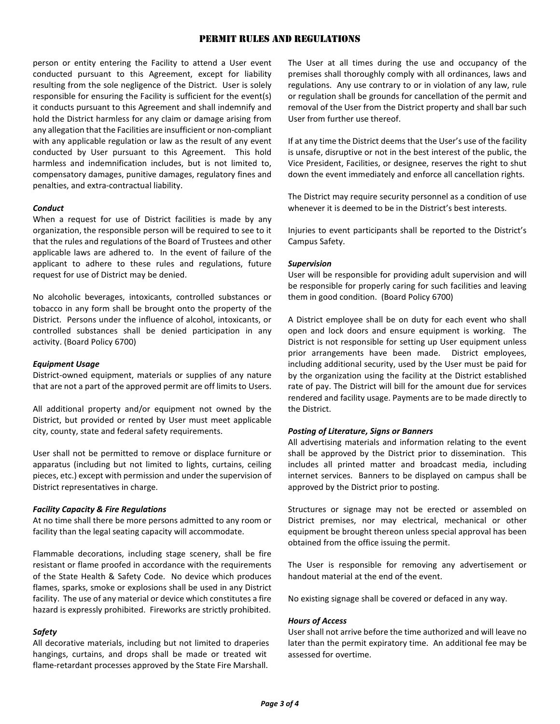# PERMIT RULES AND REGULATIONS

person or entity entering the Facility to attend a User event conducted pursuant to this Agreement, except for liability resulting from the sole negligence of the District. User is solely responsible for ensuring the Facility is sufficient for the event(s) it conducts pursuant to this Agreement and shall indemnify and hold the District harmless for any claim or damage arising from any allegation that the Facilities are insufficient or non-compliant with any applicable regulation or law as the result of any event conducted by User pursuant to this Agreement. This hold harmless and indemnification includes, but is not limited to, compensatory damages, punitive damages, regulatory fines and penalties, and extra-contractual liability.

# *Conduct*

When a request for use of District facilities is made by any organization, the responsible person will be required to see to it that the rules and regulations of the Board of Trustees and other applicable laws are adhered to. In the event of failure of the applicant to adhere to these rules and regulations, future request for use of District may be denied.

No alcoholic beverages, intoxicants, controlled substances or tobacco in any form shall be brought onto the property of the District. Persons under the influence of alcohol, intoxicants, or controlled substances shall be denied participation in any activity. (Board Policy 6700)

# *Equipment Usage*

District-owned equipment, materials or supplies of any nature that are not a part of the approved permit are off limits to Users.

All additional property and/or equipment not owned by the District, but provided or rented by User must meet applicable city, county, state and federal safety requirements.

User shall not be permitted to remove or displace furniture or apparatus (including but not limited to lights, curtains, ceiling pieces, etc.) except with permission and under the supervision of District representatives in charge.

#### *Facility Capacity & Fire Regulations*

At no time shall there be more persons admitted to any room or facility than the legal seating capacity will accommodate.

Flammable decorations, including stage scenery, shall be fire resistant or flame proofed in accordance with the requirements of the State Health & Safety Code. No device which produces flames, sparks, smoke or explosions shall be used in any District facility. The use of any material or device which constitutes a fire hazard is expressly prohibited. Fireworks are strictly prohibited.

# *Safety*

All decorative materials, including but not limited to draperies hangings, curtains, and drops shall be made or treated wit flame-retardant processes approved by the State Fire Marshall.

The User at all times during the use and occupancy of the premises shall thoroughly comply with all ordinances, laws and regulations. Any use contrary to or in violation of any law, rule or regulation shall be grounds for cancellation of the permit and removal of the User from the District property and shall bar such User from further use thereof.

If at any time the District deems that the User's use of the facility is unsafe, disruptive or not in the best interest of the public, the Vice President, Facilities, or designee, reserves the right to shut down the event immediately and enforce all cancellation rights.

The District may require security personnel as a condition of use whenever it is deemed to be in the District's best interests.

Injuries to event participants shall be reported to the District's Campus Safety.

## *Supervision*

User will be responsible for providing adult supervision and will be responsible for properly caring for such facilities and leaving them in good condition. (Board Policy 6700)

A District employee shall be on duty for each event who shall open and lock doors and ensure equipment is working. The District is not responsible for setting up User equipment unless prior arrangements have been made. District employees, including additional security, used by the User must be paid for by the organization using the facility at the District established rate of pay. The District will bill for the amount due for services rendered and facility usage. Payments are to be made directly to the District.

#### *Posting of Literature, Signs or Banners*

All advertising materials and information relating to the event shall be approved by the District prior to dissemination. This includes all printed matter and broadcast media, including internet services. Banners to be displayed on campus shall be approved by the District prior to posting.

Structures or signage may not be erected or assembled on District premises, nor may electrical, mechanical or other equipment be brought thereon unless special approval has been obtained from the office issuing the permit.

The User is responsible for removing any advertisement or handout material at the end of the event.

No existing signage shall be covered or defaced in any way.

# *Hours of Access*

User shall not arrive before the time authorized and will leave no later than the permit expiratory time. An additional fee may be assessed for overtime.